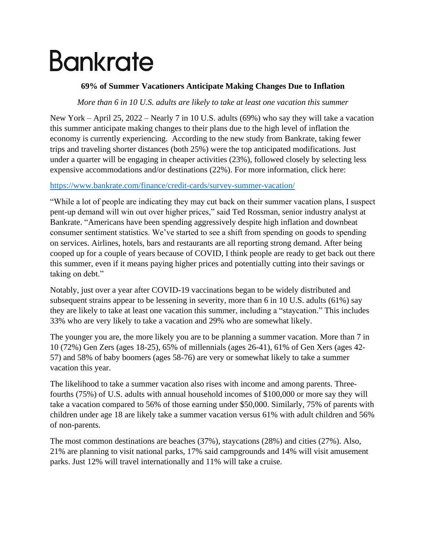# **Bankrate**

### **69% of Summer Vacationers Anticipate Making Changes Due to Inflation**

#### *More than 6 in 10 U.S. adults are likely to take at least one vacation this summer*

New York – April 25, 2022 – Nearly 7 in 10 U.S. adults (69%) who say they will take a vacation this summer anticipate making changes to their plans due to the high level of inflation the economy is currently experiencing. According to the new study from Bankrate, taking fewer trips and traveling shorter distances (both 25%) were the top anticipated modifications. Just under a quarter will be engaging in cheaper activities (23%), followed closely by selecting less expensive accommodations and/or destinations (22%). For more information, click here:

#### [https://www.bankrate.com/finance/credit-cards/survey-summer-vacation/](https://nam02.safelinks.protection.outlook.com/?url=https%3A%2F%2Fwww.bankrate.com%2Ffinance%2Fcredit-cards%2Fsurvey-summer-vacation%2F&data=04%7C01%7Ckyates%40bankrate.com%7Ca6742349e788436c93de08da21442f47%7C4289d6102cfd46218c9644a1518ddb0a%7C0%7C0%7C637858873974395066%7CUnknown%7CTWFpbGZsb3d8eyJWIjoiMC4wLjAwMDAiLCJQIjoiV2luMzIiLCJBTiI6Ik1haWwiLCJXVCI6Mn0%3D%7C3000&sdata=UlTq4b9rDjOZKOZ%2FqrIKPkwJynKOU5j7yVpWiLcb%2Fjw%3D&reserved=0)

"While a lot of people are indicating they may cut back on their summer vacation plans, I suspect pent-up demand will win out over higher prices," said Ted Rossman, senior industry analyst at Bankrate. "Americans have been spending aggressively despite high inflation and downbeat consumer sentiment statistics. We've started to see a shift from spending on goods to spending on services. Airlines, hotels, bars and restaurants are all reporting strong demand. After being cooped up for a couple of years because of COVID, I think people are ready to get back out there this summer, even if it means paying higher prices and potentially cutting into their savings or taking on debt."

Notably, just over a year after COVID-19 vaccinations began to be widely distributed and subsequent strains appear to be lessening in severity, more than 6 in 10 U.S. adults (61%) say they are likely to take at least one vacation this summer, including a "staycation." This includes 33% who are very likely to take a vacation and 29% who are somewhat likely.

The younger you are, the more likely you are to be planning a summer vacation. More than 7 in 10 (72%) Gen Zers (ages 18-25), 65% of millennials (ages 26-41), 61% of Gen Xers (ages 42- 57) and 58% of baby boomers (ages 58-76) are very or somewhat likely to take a summer vacation this year.

The likelihood to take a summer vacation also rises with income and among parents. Threefourths (75%) of U.S. adults with annual household incomes of \$100,000 or more say they will take a vacation compared to 56% of those earning under \$50,000. Similarly, 75% of parents with children under age 18 are likely take a summer vacation versus 61% with adult children and 56% of non-parents.

The most common destinations are beaches (37%), staycations (28%) and cities (27%). Also, 21% are planning to visit national parks, 17% said campgrounds and 14% will visit amusement parks. Just 12% will travel internationally and 11% will take a cruise.